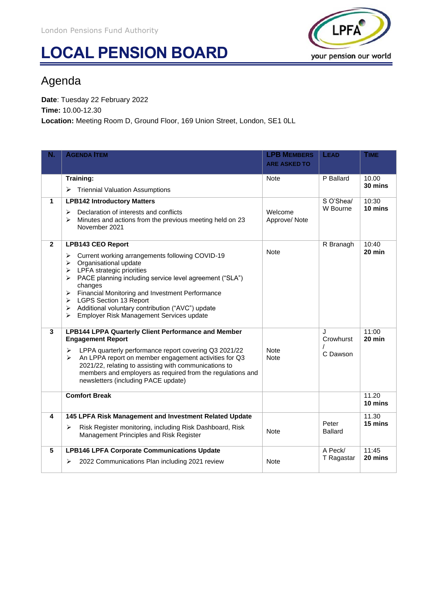## **LOCAL PENSION BOARD**



## Agenda

**Date**: Tuesday 22 February 2022 **Time:** 10.00-12.30 **Location:** Meeting Room D, Ground Floor, 169 Union Street, London, SE1 0LL

| Ν.                      | <b>AGENDA ITEM</b>                                                                                                                                                                                                                                                                           | <b>LPB MEMBERS</b><br><b>ARE ASKED TO</b> | LEAD                    | <b>TIME</b>      |
|-------------------------|----------------------------------------------------------------------------------------------------------------------------------------------------------------------------------------------------------------------------------------------------------------------------------------------|-------------------------------------------|-------------------------|------------------|
|                         |                                                                                                                                                                                                                                                                                              |                                           |                         |                  |
|                         | <b>Training:</b>                                                                                                                                                                                                                                                                             | <b>Note</b>                               | P Ballard               | 10.00<br>30 mins |
|                         | <b>Triennial Valuation Assumptions</b><br>➤                                                                                                                                                                                                                                                  |                                           |                         |                  |
| $\mathbf{1}$            | <b>LPB142 Introductory Matters</b>                                                                                                                                                                                                                                                           |                                           | S O'Shea/               | 10:30            |
|                         | Declaration of interests and conflicts<br>⋗<br>Minutes and actions from the previous meeting held on 23<br>$\blacktriangleright$<br>November 2021                                                                                                                                            | Welcome<br>Approve/Note                   | W Bourne                | 10 mins          |
| $\mathbf{2}$            | <b>LPB143 CEO Report</b>                                                                                                                                                                                                                                                                     |                                           | R Branagh               | 10:40            |
|                         | Current working arrangements following COVID-19<br>➤<br>Organisational update<br>➤<br>$\triangleright$ LPFA strategic priorities<br>> PACE planning including service level agreement ("SLA")<br>changes<br>Financial Monitoring and Investment Performance<br>➤<br>> LGPS Section 13 Report | <b>Note</b>                               |                         | 20 min           |
|                         | > Additional voluntary contribution ("AVC") update<br>Employer Risk Management Services update<br>$\blacktriangleright$                                                                                                                                                                      |                                           |                         |                  |
| 3                       | <b>LPB144 LPPA Quarterly Client Performance and Member</b><br><b>Engagement Report</b>                                                                                                                                                                                                       |                                           | J<br>Crowhurst          | 11:00<br>20 min  |
|                         | LPPA quarterly performance report covering Q3 2021/22<br>⋗<br>An LPPA report on member engagement activities for Q3<br>➤<br>2021/22, relating to assisting with communications to<br>members and employers as required from the regulations and<br>newsletters (including PACE update)       | <b>Note</b><br><b>Note</b>                | C Dawson                |                  |
|                         | <b>Comfort Break</b>                                                                                                                                                                                                                                                                         |                                           |                         | 11.20<br>10 mins |
| $\overline{\mathbf{4}}$ | 145 LPFA Risk Management and Investment Related Update                                                                                                                                                                                                                                       |                                           |                         | 11.30            |
|                         | Risk Register monitoring, including Risk Dashboard, Risk<br>➤<br>Management Principles and Risk Register                                                                                                                                                                                     | <b>Note</b>                               | Peter<br><b>Ballard</b> | 15 mins          |
| $5\phantom{.0}$         | <b>LPB146 LPFA Corporate Communications Update</b>                                                                                                                                                                                                                                           |                                           | A Peck/                 | 11:45            |
|                         | 2022 Communications Plan including 2021 review<br>➤                                                                                                                                                                                                                                          | <b>Note</b>                               | T Ragastar              | 20 mins          |